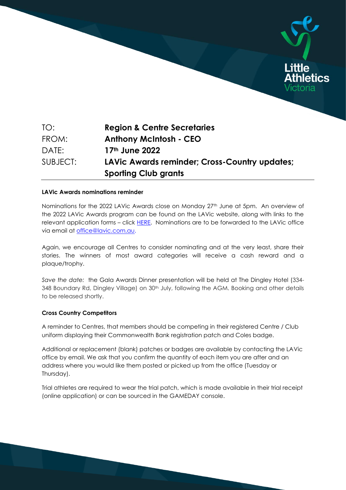

SUBJECT: **LAVic Awards reminder; Cross-Country updates; Sporting Club grants**

### **LAVic Awards nominations reminder**

Nominations for the 2022 LAVic Awards close on Monday 27<sup>th</sup> June at 5pm. An overview of the 2022 LAVic Awards program can be found on the LAVic website, along with links to the relevant application forms – click HERE. Nominations are to be forwarded to the LAVic office via email at office@lavic.com.au.

Again, we encourage all Centres to consider nominating and at the very least, share their stories. The winners of most award categories will receive a cash reward and a plaque/trophy.

*Save the date:* the Gala Awards Dinner presentation will be held at The Dingley Hotel (334- 348 Boundary Rd, Dingley Village) on 30<sup>th</sup> July, following the AGM. Booking and other details to be released shortly.

# **Cross Country Competitors**

A reminder to Centres, that members should be competing in their registered Centre / Club uniform displaying their Commonwealth Bank registration patch and Coles badge.

Additional or replacement (blank) patches or badges are available by contacting the LAVic office by email. We ask that you confirm the quantity of each item you are after and an address where you would like them posted or picked up from the office (Tuesday or Thursday).

Trial athletes are required to wear the trial patch, which is made available in their trial receipt (online application) or can be sourced in the GAMEDAY console.